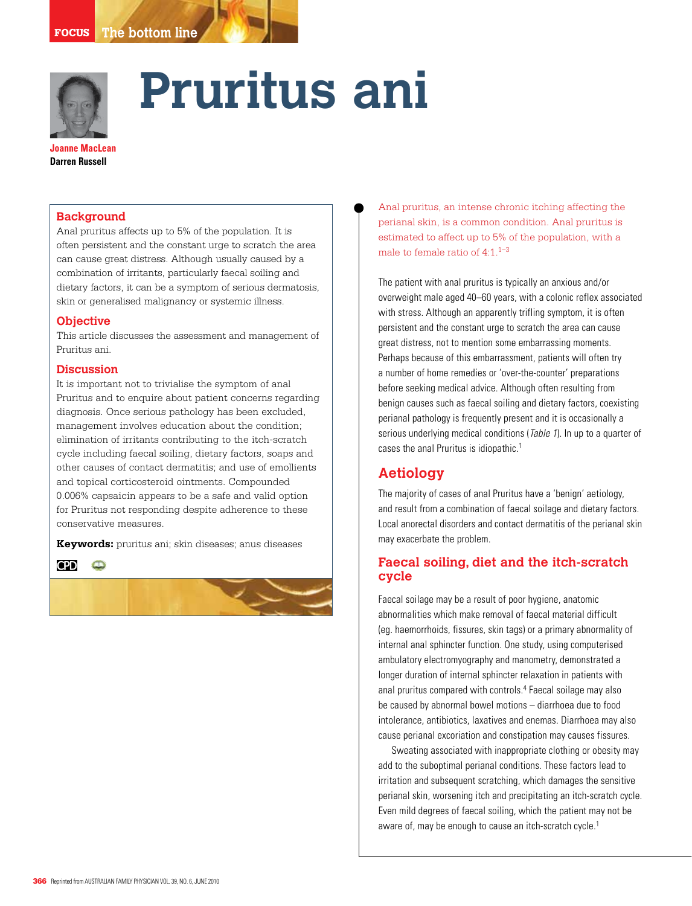

# **Pruritus ani**

**Joanne MacLean Darren Russell**

#### **Background**

Anal pruritus affects up to 5% of the population. It is often persistent and the constant urge to scratch the area can cause great distress. Although usually caused by a combination of irritants, particularly faecal soiling and dietary factors, it can be a symptom of serious dermatosis, skin or generalised malignancy or systemic illness.

#### **Objective**

This article discusses the assessment and management of Pruritus ani.

## **Discussion**

It is important not to trivialise the symptom of anal Pruritus and to enquire about patient concerns regarding diagnosis. Once serious pathology has been excluded, management involves education about the condition; elimination of irritants contributing to the itch-scratch cycle including faecal soiling, dietary factors, soaps and other causes of contact dermatitis; and use of emollients and topical corticosteroid ointments. Compounded 0.006% capsaicin appears to be a safe and valid option for Pruritus not responding despite adherence to these conservative measures.

**Keywords:** pruritus ani; skin diseases; anus diseases

**CPD**  $\bullet$ 



Anal pruritus, an intense chronic itching affecting the perianal skin, is a common condition. Anal pruritus is estimated to affect up to 5% of the population, with a male to female ratio of  $4:1.^{1-3}$ 

The patient with anal pruritus is typically an anxious and/or overweight male aged 40–60 years, with a colonic reflex associated with stress. Although an apparently trifling symptom, it is often persistent and the constant urge to scratch the area can cause great distress, not to mention some embarrassing moments. Perhaps because of this embarrassment, patients will often try a number of home remedies or 'over-the-counter' preparations before seeking medical advice. Although often resulting from benign causes such as faecal soiling and dietary factors, coexisting perianal pathology is frequently present and it is occasionally a serious underlying medical conditions (*Table 1*). In up to a quarter of cases the anal Pruritus is idiopathic.1

# **Aetiology**

The majority of cases of anal Pruritus have a 'benign' aetiology, and result from a combination of faecal soilage and dietary factors. Local anorectal disorders and contact dermatitis of the perianal skin may exacerbate the problem.

# **Faecal soiling, diet and the itch-scratch cycle**

Faecal soilage may be a result of poor hygiene, anatomic abnormalities which make removal of faecal material difficult (eg. haemorrhoids, fissures, skin tags) or a primary abnormality of internal anal sphincter function. One study, using computerised ambulatory electromyography and manometry, demonstrated a longer duration of internal sphincter relaxation in patients with anal pruritus compared with controls.<sup>4</sup> Faecal soilage may also be caused by abnormal bowel motions – diarrhoea due to food intolerance, antibiotics, laxatives and enemas. Diarrhoea may also cause perianal excoriation and constipation may causes fissures.

 Sweating associated with inappropriate clothing or obesity may add to the suboptimal perianal conditions. These factors lead to irritation and subsequent scratching, which damages the sensitive perianal skin, worsening itch and precipitating an itch-scratch cycle. Even mild degrees of faecal soiling, which the patient may not be aware of, may be enough to cause an itch-scratch cycle.<sup>1</sup>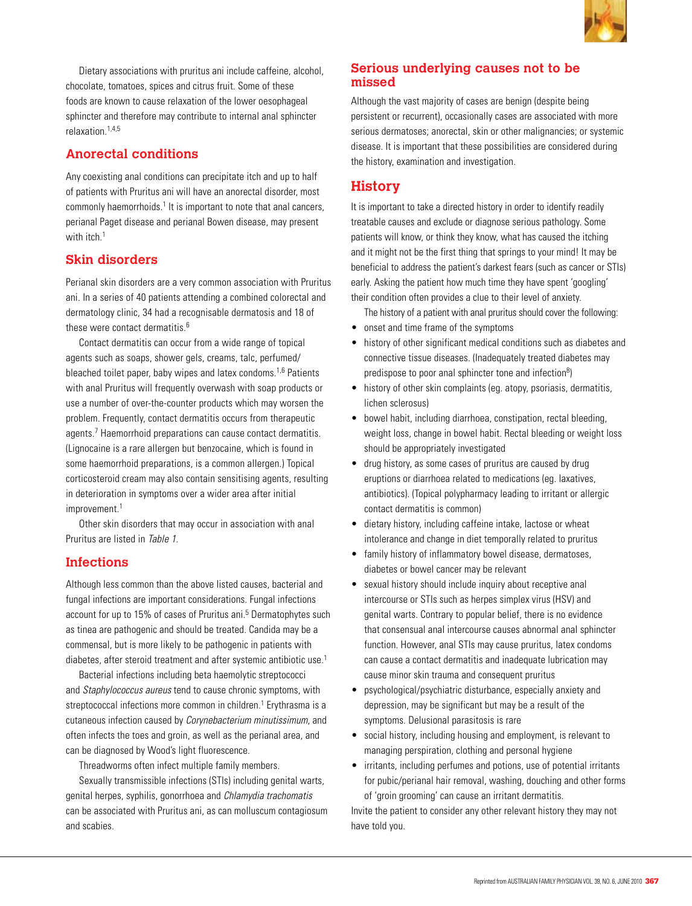

Dietary associations with pruritus ani include caffeine, alcohol, chocolate, tomatoes, spices and citrus fruit. Some of these foods are known to cause relaxation of the lower oesophageal sphincter and therefore may contribute to internal anal sphincter relaxation $1,4,5$ 

# **Anorectal conditions**

Any coexisting anal conditions can precipitate itch and up to half of patients with Pruritus ani will have an anorectal disorder, most commonly haemorrhoids.<sup>1</sup> It is important to note that anal cancers, perianal Paget disease and perianal Bowen disease, may present with itch.<sup>1</sup>

# **Skin disorders**

Perianal skin disorders are a very common association with Pruritus ani. In a series of 40 patients attending a combined colorectal and dermatology clinic, 34 had a recognisable dermatosis and 18 of these were contact dermatitis.<sup>6</sup>

 Contact dermatitis can occur from a wide range of topical agents such as soaps, shower gels, creams, talc, perfumed/ bleached toilet paper, baby wipes and latex condoms.<sup>1,6</sup> Patients with anal Pruritus will frequently overwash with soap products or use a number of over-the-counter products which may worsen the problem. Frequently, contact dermatitis occurs from therapeutic agents.<sup>7</sup> Haemorrhoid preparations can cause contact dermatitis. (Lignocaine is a rare allergen but benzocaine, which is found in some haemorrhoid preparations, is a common allergen.) Topical corticosteroid cream may also contain sensitising agents, resulting in deterioration in symptoms over a wider area after initial improvement.<sup>1</sup>

 Other skin disorders that may occur in association with anal Pruritus are listed in Table 1.

# **Infections**

Although less common than the above listed causes, bacterial and fungal infections are important considerations. Fungal infections account for up to 15% of cases of Pruritus ani.<sup>5</sup> Dermatophytes such as tinea are pathogenic and should be treated. Candida may be a commensal, but is more likely to be pathogenic in patients with diabetes, after steroid treatment and after systemic antibiotic use.<sup>1</sup>

Bacterial infections including beta haemolytic streptococci and Staphylococcus aureus tend to cause chronic symptoms, with streptococcal infections more common in children.<sup>1</sup> Erythrasma is a cutaneous infection caused by Corynebacterium minutissimum, and often infects the toes and groin, as well as the perianal area, and can be diagnosed by Wood's light fluorescence.

Threadworms often infect multiple family members.

 Sexually transmissible infections (STIs) including genital warts, genital herpes, syphilis, gonorrhoea and Chlamydia trachomatis can be associated with Pruritus ani, as can molluscum contagiosum and scabies.

# **Serious underlying causes not to be missed**

Although the vast majority of cases are benign (despite being persistent or recurrent), occasionally cases are associated with more serious dermatoses; anorectal, skin or other malignancies; or systemic disease. It is important that these possibilities are considered during the history, examination and investigation.

# **History**

It is important to take a directed history in order to identify readily treatable causes and exclude or diagnose serious pathology. Some patients will know, or think they know, what has caused the itching and it might not be the first thing that springs to your mind! It may be beneficial to address the patient's darkest fears (such as cancer or STIs) early. Asking the patient how much time they have spent 'googling' their condition often provides a clue to their level of anxiety.

The history of a patient with anal pruritus should cover the following:

- onset and time frame of the symptoms
- history of other significant medical conditions such as diabetes and connective tissue diseases. (Inadequately treated diabetes may predispose to poor anal sphincter tone and infection<sup>8</sup>)
- history of other skin complaints (eg. atopy, psoriasis, dermatitis, lichen sclerosus)
- bowel habit, including diarrhoea, constipation, rectal bleeding, weight loss, change in bowel habit. Rectal bleeding or weight loss should be appropriately investigated
- drug history, as some cases of pruritus are caused by drug eruptions or diarrhoea related to medications (eg. laxatives, antibiotics). (Topical polypharmacy leading to irritant or allergic contact dermatitis is common)
- dietary history, including caffeine intake, lactose or wheat intolerance and change in diet temporally related to pruritus
- family history of inflammatory bowel disease, dermatoses, diabetes or bowel cancer may be relevant
- sexual history should include inquiry about receptive anal intercourse or STIs such as herpes simplex virus (HSV) and genital warts. Contrary to popular belief, there is no evidence that consensual anal intercourse causes abnormal anal sphincter function. However, anal STIs may cause pruritus, latex condoms can cause a contact dermatitis and inadequate lubrication may cause minor skin trauma and consequent pruritus
- psychological/psychiatric disturbance, especially anxiety and depression, may be significant but may be a result of the symptoms. Delusional parasitosis is rare
- social history, including housing and employment, is relevant to managing perspiration, clothing and personal hygiene
- irritants, including perfumes and potions, use of potential irritants for pubic/perianal hair removal, washing, douching and other forms of 'groin grooming' can cause an irritant dermatitis.

Invite the patient to consider any other relevant history they may not have told you.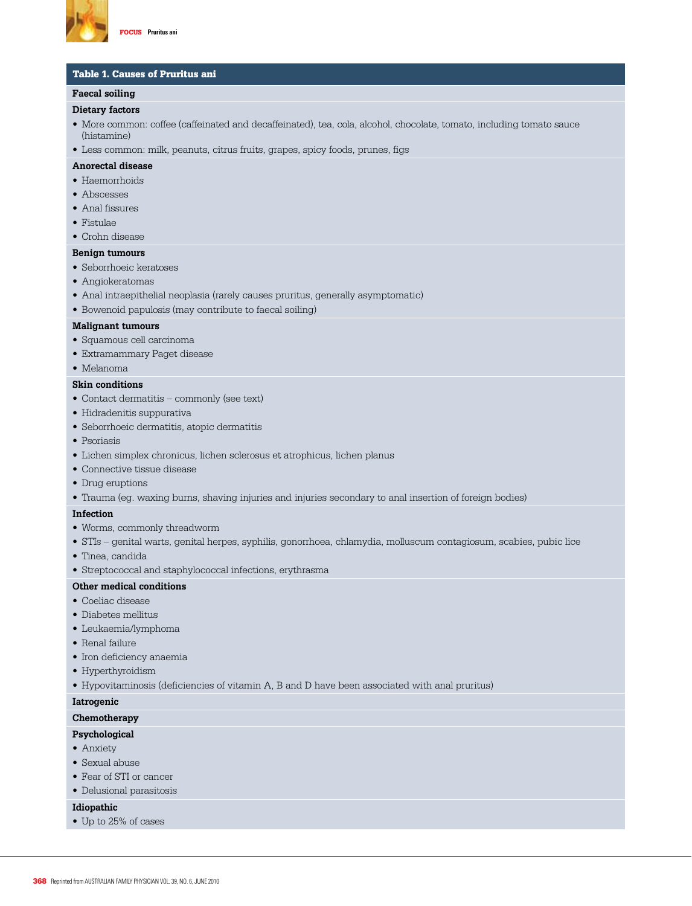

#### Table 1. Causes of Pruritus ani

#### **Faecal soiling**

#### **Dietary factors**

• More common: coffee (caffeinated and decaffeinated), tea, cola, alcohol, chocolate, tomato, including tomato sauce (histamine)

• Less common: milk, peanuts, citrus fruits, grapes, spicy foods, prunes, figs

#### **Anorectal disease**

- Haemorrhoids
- Abscesses
- • Anal fissures
- Fistulae
- • Crohn disease

#### **Benign tumours**

- Seborrhoeic keratoses
- Angiokeratomas
- Anal intraepithelial neoplasia (rarely causes pruritus, generally asymptomatic)
- • Bowenoid papulosis (may contribute to faecal soiling)

#### **Malignant tumours**

- • Squamous cell carcinoma
- • Extramammary Paget disease
- • Melanoma

#### **Skin conditions**

- • Contact dermatitis commonly (see text)
- • Hidradenitis suppurativa
- • Seborrhoeic dermatitis, atopic dermatitis
- • Psoriasis
- • Lichen simplex chronicus, lichen sclerosus et atrophicus, lichen planus
- • Connective tissue disease
- Drug eruptions
- • Trauma (eg. waxing burns, shaving injuries and injuries secondary to anal insertion of foreign bodies)

#### **Infection**

- • Worms, commonly threadworm
- • STIs genital warts, genital herpes, syphilis, gonorrhoea, chlamydia, molluscum contagiosum, scabies, pubic lice
- Tinea, candida
- Streptococcal and staphylococcal infections, erythrasma

#### **Other medical conditions**

- • Coeliac disease
- • Diabetes mellitus
- • Leukaemia/lymphoma
- Renal failure
- • Iron deficiency anaemia
- Hyperthyroidism
- • Hypovitaminosis (deficiencies of vitamin A, B and D have been associated with anal pruritus)

#### **Iatrogenic**

#### **Chemotherapy**

**Psychological** 

#### • Anxiety

- • Sexual abuse
- Fear of STI or cancer
- • Delusional parasitosis

#### **Idiopathic**

• Up to 25% of cases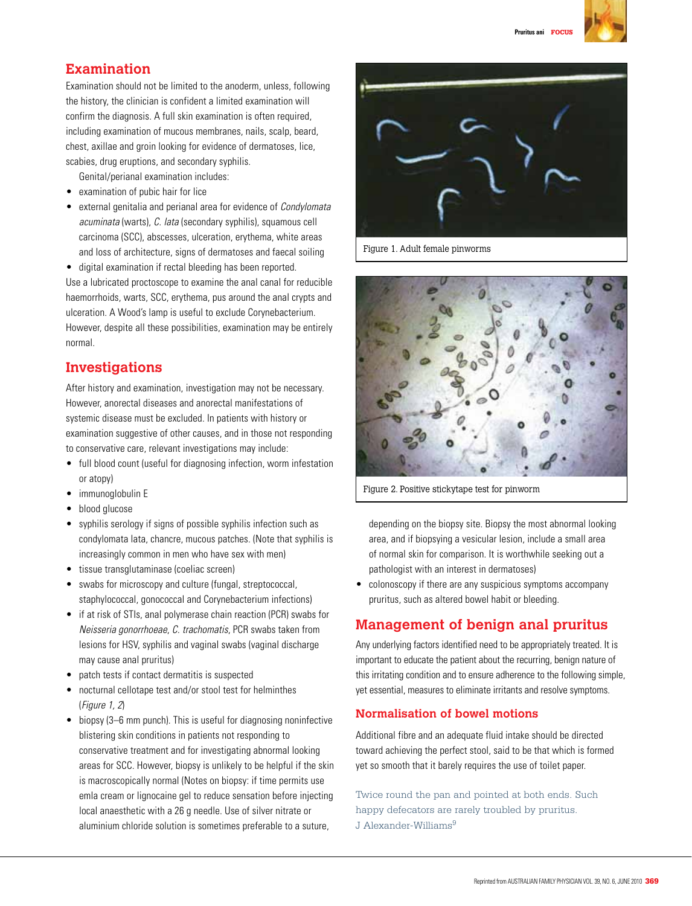

# **Examination**

Examination should not be limited to the anoderm, unless, following the history, the clinician is confident a limited examination will confirm the diagnosis. A full skin examination is often required, including examination of mucous membranes, nails, scalp, beard, chest, axillae and groin looking for evidence of dermatoses, lice, scabies, drug eruptions, and secondary syphilis.

Genital/perianal examination includes:

- examination of pubic hair for lice
- external genitalia and perianal area for evidence of *Condylomata* acuminata (warts), C. lata (secondary syphilis), squamous cell carcinoma (SCC), abscesses, ulceration, erythema, white areas and loss of architecture, signs of dermatoses and faecal soiling
- • digital examination if rectal bleeding has been reported.

Use a lubricated proctoscope to examine the anal canal for reducible haemorrhoids, warts, SCC, erythema, pus around the anal crypts and ulceration. A Wood's lamp is useful to exclude Corynebacterium. However, despite all these possibilities, examination may be entirely normal.

# **Investigations**

After history and examination, investigation may not be necessary. However, anorectal diseases and anorectal manifestations of systemic disease must be excluded. In patients with history or examination suggestive of other causes, and in those not responding to conservative care, relevant investigations may include:

- full blood count (useful for diagnosing infection, worm infestation or atopy)
- immunoglobulin E
- blood glucose
- syphilis serology if signs of possible syphilis infection such as condylomata lata, chancre, mucous patches. (Note that syphilis is increasingly common in men who have sex with men)
- tissue transglutaminase (coeliac screen)
- swabs for microscopy and culture (fungal, streptococcal, staphylococcal, gonococcal and Corynebacterium infections)
- if at risk of STIs, anal polymerase chain reaction (PCR) swabs for Neisseria gonorrhoeae, C. trachomatis, PCR swabs taken from lesions for HSV, syphilis and vaginal swabs (vaginal discharge may cause anal pruritus)
- patch tests if contact dermatitis is suspected
- nocturnal cellotape test and/or stool test for helminthes (Figure 1, 2)
- biopsy (3–6 mm punch). This is useful for diagnosing noninfective blistering skin conditions in patients not responding to conservative treatment and for investigating abnormal looking areas for SCC. However, biopsy is unlikely to be helpful if the skin is macroscopically normal (Notes on biopsy: if time permits use emla cream or lignocaine gel to reduce sensation before injecting local anaesthetic with a 26 g needle. Use of silver nitrate or aluminium chloride solution is sometimes preferable to a suture,



Figure 1. Adult female pinworms



Figure 2. Positive stickytape test for pinworm

depending on the biopsy site. Biopsy the most abnormal looking area, and if biopsying a vesicular lesion, include a small area of normal skin for comparison. It is worthwhile seeking out a pathologist with an interest in dermatoses)

• colonoscopy if there are any suspicious symptoms accompany pruritus, such as altered bowel habit or bleeding.

# **Management of benign anal pruritus**

Any underlying factors identified need to be appropriately treated. It is important to educate the patient about the recurring, benign nature of this irritating condition and to ensure adherence to the following simple, yet essential, measures to eliminate irritants and resolve symptoms.

# **Normalisation of bowel motions**

Additional fibre and an adequate fluid intake should be directed toward achieving the perfect stool, said to be that which is formed yet so smooth that it barely requires the use of toilet paper.

Twice round the pan and pointed at both ends. Such happy defecators are rarely troubled by pruritus. J Alexander-Williams<sup>9</sup>